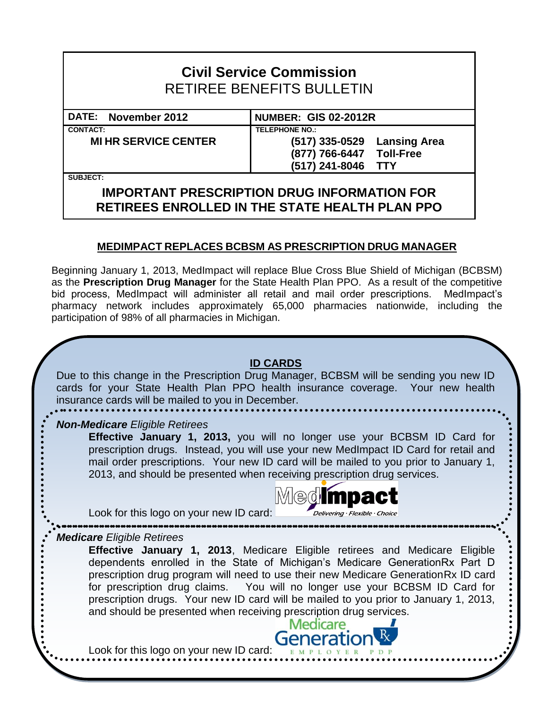# **Civil Service Commission** RETIREE BENEFITS BULLETIN

**CONTACT: TELEPHONE NO.:**

## **DATE: November 2012 NUMBER: GIS 02-2012R**

**MI HR SERVICE CENTER (517) 335-0529 Lansing Area**

**(877) 766-6447 Toll-Free (517) 241-8046 TTY**

**SUBJECT:**

## **IMPORTANT PRESCRIPTION DRUG INFORMATION FOR RETIREES ENROLLED IN THE STATE HEALTH PLAN PPO**

#### **MEDIMPACT REPLACES BCBSM AS PRESCRIPTION DRUG MANAGER**

Beginning January 1, 2013, MedImpact will replace Blue Cross Blue Shield of Michigan (BCBSM) as the **Prescription Drug Manager** for the State Health Plan PPO. As a result of the competitive bid process, MedImpact will administer all retail and mail order prescriptions. MedImpact's pharmacy network includes approximately 65,000 pharmacies nationwide, including the participation of 98% of all pharmacies in Michigan.

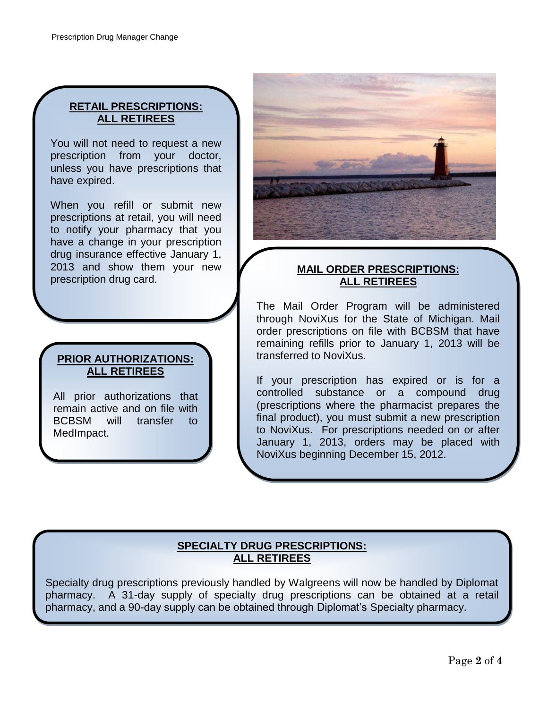### **RETAIL PRESCRIPTIONS: ALL RETIREES**

You will not need to request a new prescription from your doctor, unless you have prescriptions that have expired.

When you refill or submit new prescriptions at retail, you will need to notify your pharmacy that you have a change in your prescription drug insurance effective January 1, 2013 and show them your new prescription drug card.

### **PRIOR AUTHORIZATIONS: ALL RETIREES**

All prior authorizations that remain active and on file with BCBSM will transfer to MedImpact.



#### **MAIL ORDER PRESCRIPTIONS: ALL RETIREES**

The Mail Order Program will be administered through NoviXus for the State of Michigan. Mail order prescriptions on file with BCBSM that have remaining refills prior to January 1, 2013 will be transferred to NoviXus.

If your prescription has expired or is for a controlled substance or a compound drug (prescriptions where the pharmacist prepares the final product), you must submit a new prescription to NoviXus. For prescriptions needed on or after January 1, 2013, orders may be placed with NoviXus beginning December 15, 2012.

#### **SPECIALTY DRUG PRESCRIPTIONS: ALL RETIREES**

Specialty drug prescriptions previously handled by Walgreens will now be handled by Diplomat pharmacy. A 31-day supply of specialty drug prescriptions can be obtained at a retail pharmacy, and a 90-day supply can be obtained through Diplomat's Specialty pharmacy.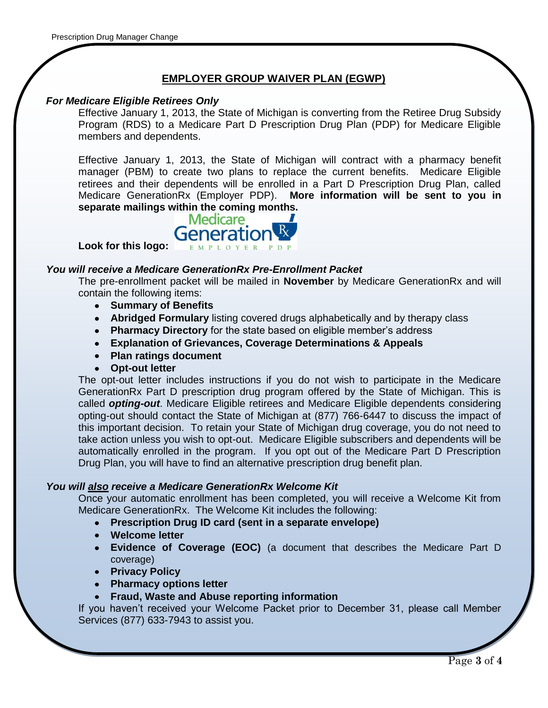#### **EMPLOYER GROUP WAIVER PLAN (EGWP)**

#### *For Medicare Eligible Retirees Only*

Effective January 1, 2013, the State of Michigan is converting from the Retiree Drug Subsidy Program (RDS) to a Medicare Part D Prescription Drug Plan (PDP) for Medicare Eligible members and dependents.

Effective January 1, 2013, the State of Michigan will contract with a pharmacy benefit manager (PBM) to create two plans to replace the current benefits. Medicare Eligible retirees and their dependents will be enrolled in a Part D Prescription Drug Plan, called Medicare GenerationRx (Employer PDP). **More information will be sent to you in separate mailings within the coming months.** 



#### *You will receive a Medicare GenerationRx Pre-Enrollment Packet*

The pre-enrollment packet will be mailed in **November** by Medicare GenerationRx and will contain the following items:

- **Summary of Benefits**
- **Abridged Formulary** listing covered drugs alphabetically and by therapy class
- **Pharmacy Directory** for the state based on eligible member's address
- **Explanation of Grievances, Coverage Determinations & Appeals**
- **Plan ratings document**
- **Opt-out letter**

The opt-out letter includes instructions if you do not wish to participate in the Medicare GenerationRx Part D prescription drug program offered by the State of Michigan. This is called *opting-out*. Medicare Eligible retirees and Medicare Eligible dependents considering opting-out should contact the State of Michigan at (877) 766-6447 to discuss the impact of this important decision. To retain your State of Michigan drug coverage, you do not need to take action unless you wish to opt-out. Medicare Eligible subscribers and dependents will be automatically enrolled in the program. If you opt out of the Medicare Part D Prescription Drug Plan, you will have to find an alternative prescription drug benefit plan.

#### *You will also receive a Medicare GenerationRx Welcome Kit*

Once your automatic enrollment has been completed, you will receive a Welcome Kit from Medicare GenerationRx. The Welcome Kit includes the following:

- **Prescription Drug ID card (sent in a separate envelope)**
- **Welcome letter**
- **Evidence of Coverage (EOC)** (a document that describes the Medicare Part D coverage)
- **•** Privacy Policy
- **Pharmacy options letter**
- **Fraud, Waste and Abuse reporting information**

If you haven't received your Welcome Packet prior to December 31, please call Member Services (877) 633-7943 to assist you.